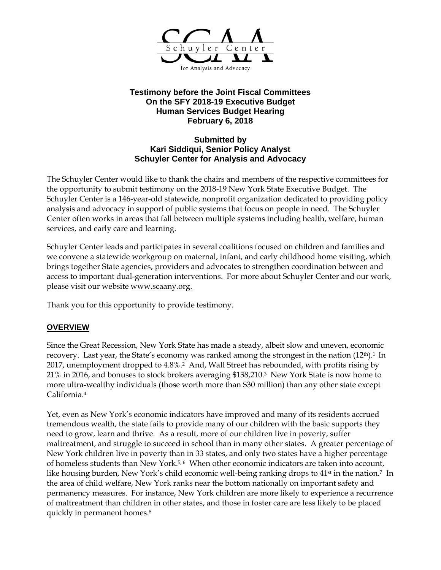

## **Testimony before the Joint Fiscal Committees On the SFY 2018-19 Executive Budget Human Services Budget Hearing February 6, 2018**

## **Submitted by Kari Siddiqui, Senior Policy Analyst Schuyler Center for Analysis and Advocacy**

The Schuyler Center would like to thank the chairs and members of the respective committees for the opportunity to submit testimony on the 2018-19 New York State Executive Budget. The Schuyler Center is a 146-year-old statewide, nonprofit organization dedicated to providing policy analysis and advocacy in support of public systems that focus on people in need. The Schuyler Center often works in areas that fall between multiple systems including health, welfare, human services, and early care and learning.

Schuyler Center leads and participates in several coalitions focused on children and families and we convene a statewide workgroup on maternal, infant, and early childhood home visiting, which brings together State agencies, providers and advocates to strengthen coordination between and access to important dual-generation interventions. For more about Schuyler Center and our work, please visit our website [www.scaany.org.](http://www.scaany.org/)

Thank you for this opportunity to provide testimony.

# **OVERVIEW**

Since the Great Recession, New York State has made a steady, albeit slow and uneven, economic recovery. Last year, the State's economy was ranked among the strongest in the nation (12<sup>th</sup>).<sup>1</sup> In 2017, unemployment dropped to 4.8%.2 And, Wall Street has rebounded, with profits rising by 21% in 2016, and bonuses to stock brokers averaging \$138,210.<sup>3</sup> New York State is now home to more ultra-wealthy individuals (those worth more than \$30 million) than any other state except California.<sup>4</sup>

Yet, even as New York's economic indicators have improved and many of its residents accrued tremendous wealth, the state fails to provide many of our children with the basic supports they need to grow, learn and thrive. As a result, more of our children live in poverty, suffer maltreatment, and struggle to succeed in school than in many other states. A greater percentage of New York children live in poverty than in 33 states, and only two states have a higher percentage of homeless students than New York.<sup>5,6</sup> When other economic indicators are taken into account, like housing burden, New York's child economic well-being ranking drops to  $41<sup>st</sup>$  in the nation.<sup>7</sup> In the area of child welfare, New York ranks near the bottom nationally on important safety and permanency measures. For instance, New York children are more likely to experience a recurrence of maltreatment than children in other states, and those in foster care are less likely to be placed quickly in permanent homes.8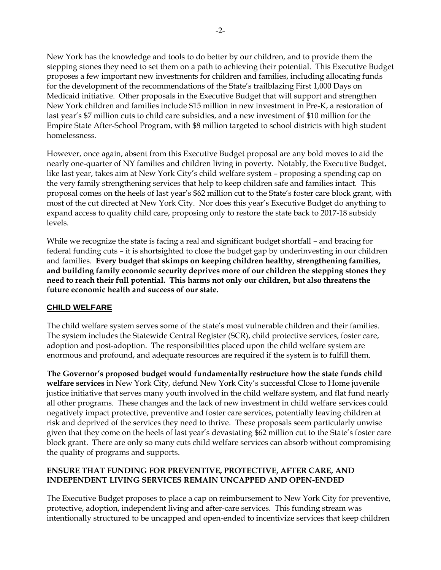New York has the knowledge and tools to do better by our children, and to provide them the stepping stones they need to set them on a path to achieving their potential. This Executive Budget proposes a few important new investments for children and families, including allocating funds for the development of the recommendations of the State's trailblazing First 1,000 Days on Medicaid initiative. Other proposals in the Executive Budget that will support and strengthen New York children and families include \$15 million in new investment in Pre-K, a restoration of last year's \$7 million cuts to child care subsidies, and a new investment of \$10 million for the Empire State After-School Program, with \$8 million targeted to school districts with high student homelessness.

However, once again, absent from this Executive Budget proposal are any bold moves to aid the nearly one-quarter of NY families and children living in poverty. Notably, the Executive Budget, like last year, takes aim at New York City's child welfare system – proposing a spending cap on the very family strengthening services that help to keep children safe and families intact. This proposal comes on the heels of last year's \$62 million cut to the State's foster care block grant, with most of the cut directed at New York City. Nor does this year's Executive Budget do anything to expand access to quality child care, proposing only to restore the state back to 2017-18 subsidy levels.

While we recognize the state is facing a real and significant budget shortfall – and bracing for federal funding cuts – it is shortsighted to close the budget gap by underinvesting in our children and families. **Every budget that skimps on keeping children healthy, strengthening families, and building family economic security deprives more of our children the stepping stones they need to reach their full potential. This harms not only our children, but also threatens the future economic health and success of our state.**

### **CHILD WELFARE**

The child welfare system serves some of the state's most vulnerable children and their families. The system includes the Statewide Central Register (SCR), child protective services, foster care, adoption and post-adoption. The responsibilities placed upon the child welfare system are enormous and profound, and adequate resources are required if the system is to fulfill them.

**The Governor's proposed budget would fundamentally restructure how the state funds child welfare services** in New York City, defund New York City's successful Close to Home juvenile justice initiative that serves many youth involved in the child welfare system, and flat fund nearly all other programs. These changes and the lack of new investment in child welfare services could negatively impact protective, preventive and foster care services, potentially leaving children at risk and deprived of the services they need to thrive. These proposals seem particularly unwise given that they come on the heels of last year's devastating \$62 million cut to the State's foster care block grant. There are only so many cuts child welfare services can absorb without compromising the quality of programs and supports.

### **ENSURE THAT FUNDING FOR PREVENTIVE, PROTECTIVE, AFTER CARE, AND INDEPENDENT LIVING SERVICES REMAIN UNCAPPED AND OPEN-ENDED**

The Executive Budget proposes to place a cap on reimbursement to New York City for preventive, protective, adoption, independent living and after-care services. This funding stream was intentionally structured to be uncapped and open-ended to incentivize services that keep children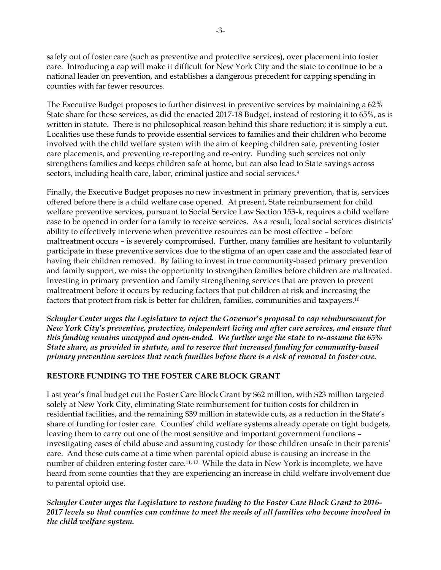safely out of foster care (such as preventive and protective services), over placement into foster care. Introducing a cap will make it difficult for New York City and the state to continue to be a national leader on prevention, and establishes a dangerous precedent for capping spending in counties with far fewer resources.

The Executive Budget proposes to further disinvest in preventive services by maintaining a 62% State share for these services, as did the enacted 2017-18 Budget, instead of restoring it to 65%, as is written in statute. There is no philosophical reason behind this share reduction; it is simply a cut. Localities use these funds to provide essential services to families and their children who become involved with the child welfare system with the aim of keeping children safe, preventing foster care placements, and preventing re-reporting and re-entry. Funding such services not only strengthens families and keeps children safe at home, but can also lead to State savings across sectors, including health care, labor, criminal justice and social services. 9

Finally, the Executive Budget proposes no new investment in primary prevention, that is, services offered before there is a child welfare case opened. At present, State reimbursement for child welfare preventive services, pursuant to Social Service Law Section 153-k, requires a child welfare case to be opened in order for a family to receive services. As a result, local social services districts' ability to effectively intervene when preventive resources can be most effective – before maltreatment occurs – is severely compromised. Further, many families are hesitant to voluntarily participate in these preventive services due to the stigma of an open case and the associated fear of having their children removed. By failing to invest in true community-based primary prevention and family support, we miss the opportunity to strengthen families before children are maltreated. Investing in primary prevention and family strengthening services that are proven to prevent maltreatment before it occurs by reducing factors that put children at risk and increasing the factors that protect from risk is better for children, families, communities and taxpayers.<sup>10</sup>

*Schuyler Center urges the Legislature to reject the Governor's proposal to cap reimbursement for New York City's preventive, protective, independent living and after care services, and ensure that this funding remains uncapped and open-ended. We further urge the state to re-assume the 65% State share, as provided in statute, and to reserve that increased funding for community-based primary prevention services that reach families before there is a risk of removal to foster care.*

# **RESTORE FUNDING TO THE FOSTER CARE BLOCK GRANT**

Last year's final budget cut the Foster Care Block Grant by \$62 million, with \$23 million targeted solely at New York City, eliminating State reimbursement for tuition costs for children in residential facilities, and the remaining \$39 million in statewide cuts, as a reduction in the State's share of funding for foster care. Counties' child welfare systems already operate on tight budgets, leaving them to carry out one of the most sensitive and important government functions – investigating cases of child abuse and assuming custody for those children unsafe in their parents' care. And these cuts came at a time when parental opioid abuse is causing an increase in the number of children entering foster care.<sup>11, 12</sup> While the data in New York is incomplete, we have heard from some counties that they are experiencing an increase in child welfare involvement due to parental opioid use.

*Schuyler Center urges the Legislature to restore funding to the Foster Care Block Grant to 2016- 2017 levels so that counties can continue to meet the needs of all families who become involved in the child welfare system.*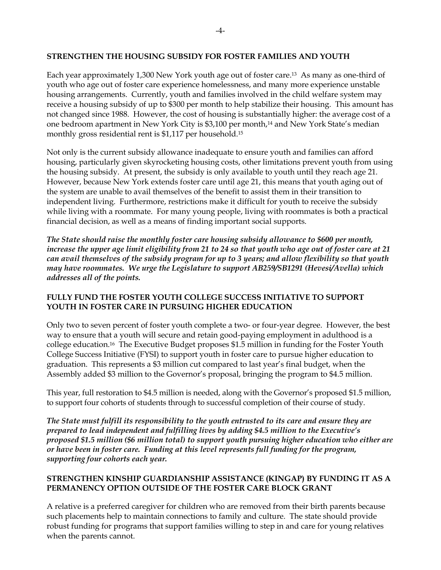#### **STRENGTHEN THE HOUSING SUBSIDY FOR FOSTER FAMILIES AND YOUTH**

Each year approximately 1,300 New York youth age out of foster care.13 As many as one-third of youth who age out of foster care experience homelessness, and many more experience unstable housing arrangements. Currently, youth and families involved in the child welfare system may receive a housing subsidy of up to \$300 per month to help stabilize their housing. This amount has not changed since 1988. However, the cost of housing is substantially higher: the average cost of a one bedroom apartment in New York City is \$3,100 per month,<sup>14</sup> and New York State's median monthly gross residential rent is \$1,117 per household.<sup>15</sup>

Not only is the current subsidy allowance inadequate to ensure youth and families can afford housing, particularly given skyrocketing housing costs, other limitations prevent youth from using the housing subsidy. At present, the subsidy is only available to youth until they reach age 21. However, because New York extends foster care until age 21, this means that youth aging out of the system are unable to avail themselves of the benefit to assist them in their transition to independent living. Furthermore, restrictions make it difficult for youth to receive the subsidy while living with a roommate. For many young people, living with roommates is both a practical financial decision, as well as a means of finding important social supports.

*The State should raise the monthly foster care housing subsidy allowance to \$600 per month, increase the upper age limit eligibility from 21 to 24 so that youth who age out of foster care at 21 can avail themselves of the subsidy program for up to 3 years; and allow flexibility so that youth may have roommates. We urge the Legislature to support AB259/SB1291 (Hevesi/Avella) which addresses all of the points.* 

### **FULLY FUND THE FOSTER YOUTH COLLEGE SUCCESS INITIATIVE TO SUPPORT YOUTH IN FOSTER CARE IN PURSUING HIGHER EDUCATION**

Only two to seven percent of foster youth complete a two- or four-year degree. However, the best way to ensure that a youth will secure and retain good-paying employment in adulthood is a college education.16 The Executive Budget proposes \$1.5 million in funding for the Foster Youth College Success Initiative (FYSI) to support youth in foster care to pursue higher education to graduation. This represents a \$3 million cut compared to last year's final budget, when the Assembly added \$3 million to the Governor's proposal, bringing the program to \$4.5 million.

This year, full restoration to \$4.5 million is needed, along with the Governor's proposed \$1.5 million, to support four cohorts of students through to successful completion of their course of study.

*The State must fulfill its responsibility to the youth entrusted to its care and ensure they are prepared to lead independent and fulfilling lives by adding \$4.5 million to the Executive's proposed \$1.5 million (\$6 million total) to support youth pursuing higher education who either are or have been in foster care. Funding at this level represents full funding for the program, supporting four cohorts each year.* 

### **STRENGTHEN KINSHIP GUARDIANSHIP ASSISTANCE (KINGAP) BY FUNDING IT AS A PERMANENCY OPTION OUTSIDE OF THE FOSTER CARE BLOCK GRANT**

A relative is a preferred caregiver for children who are removed from their birth parents because such placements help to maintain connections to family and culture. The state should provide robust funding for programs that support families willing to step in and care for young relatives when the parents cannot.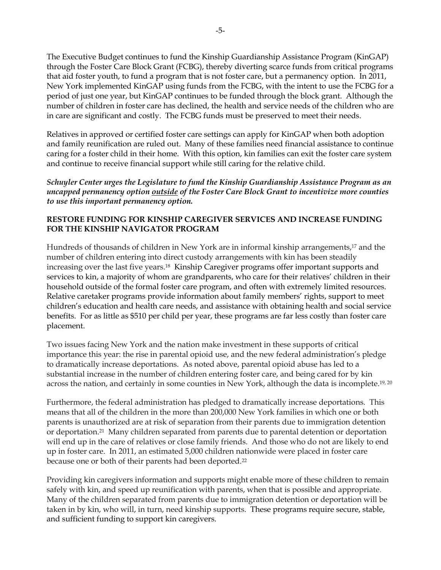The Executive Budget continues to fund the Kinship Guardianship Assistance Program (KinGAP) through the Foster Care Block Grant (FCBG), thereby diverting scarce funds from critical programs that aid foster youth, to fund a program that is not foster care, but a permanency option. In 2011, New York implemented KinGAP using funds from the FCBG, with the intent to use the FCBG for a period of just one year, but KinGAP continues to be funded through the block grant. Although the number of children in foster care has declined, the health and service needs of the children who are in care are significant and costly. The FCBG funds must be preserved to meet their needs.

Relatives in approved or certified foster care settings can apply for KinGAP when both adoption and family reunification are ruled out. Many of these families need financial assistance to continue caring for a foster child in their home. With this option, kin families can exit the foster care system and continue to receive financial support while still caring for the relative child.

*Schuyler Center urges the Legislature to fund the Kinship Guardianship Assistance Program as an uncapped permanency option outside of the Foster Care Block Grant to incentivize more counties to use this important permanency option.*

### **RESTORE FUNDING FOR KINSHIP CAREGIVER SERVICES AND INCREASE FUNDING FOR THE KINSHIP NAVIGATOR PROGRAM**

Hundreds of thousands of children in New York are in informal kinship arrangements,<sup>17</sup> and the number of children entering into direct custody arrangements with kin has been steadily increasing over the last five years.<sup>18</sup> Kinship Caregiver programs offer important supports and services to kin, a majority of whom are grandparents, who care for their relatives' children in their household outside of the formal foster care program, and often with extremely limited resources. Relative caretaker programs provide information about family members' rights, support to meet children's education and health care needs, and assistance with obtaining health and social service benefits. For as little as \$510 per child per year, these programs are far less costly than foster care placement.

Two issues facing New York and the nation make investment in these supports of critical importance this year: the rise in parental opioid use, and the new federal administration's pledge to dramatically increase deportations. As noted above, parental opioid abuse has led to a substantial increase in the number of children entering foster care, and being cared for by kin across the nation, and certainly in some counties in New York, although the data is incomplete.<sup>19, 20</sup>

Furthermore, the federal administration has pledged to dramatically increase deportations. This means that all of the children in the more than 200,000 New York families in which one or both parents is unauthorized are at risk of separation from their parents due to immigration detention or deportation.<sup>21</sup> Many children separated from parents due to parental detention or deportation will end up in the care of relatives or close family friends. And those who do not are likely to end up in foster care. In 2011, an estimated 5,000 children nationwide were placed in foster care because one or both of their parents had been deported.<sup>22</sup>

Providing kin caregivers information and supports might enable more of these children to remain safely with kin, and speed up reunification with parents, when that is possible and appropriate. Many of the children separated from parents due to immigration detention or deportation will be taken in by kin, who will, in turn, need kinship supports. These programs require secure, stable, and sufficient funding to support kin caregivers.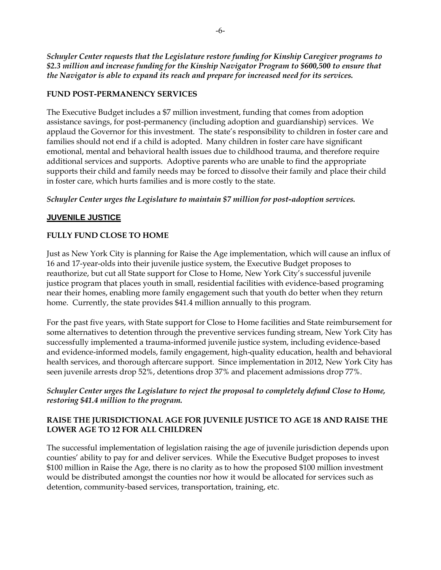*Schuyler Center requests that the Legislature restore funding for Kinship Caregiver programs to \$2.3 million and increase funding for the Kinship Navigator Program to \$600,500 to ensure that the Navigator is able to expand its reach and prepare for increased need for its services.* 

## **FUND POST-PERMANENCY SERVICES**

The Executive Budget includes a \$7 million investment, funding that comes from adoption assistance savings, for post-permanency (including adoption and guardianship) services. We applaud the Governor for this investment. The state's responsibility to children in foster care and families should not end if a child is adopted. Many children in foster care have significant emotional, mental and behavioral health issues due to childhood trauma, and therefore require additional services and supports. Adoptive parents who are unable to find the appropriate supports their child and family needs may be forced to dissolve their family and place their child in foster care, which hurts families and is more costly to the state.

### *Schuyler Center urges the Legislature to maintain \$7 million for post-adoption services.*

# **JUVENILE JUSTICE**

# **FULLY FUND CLOSE TO HOME**

Just as New York City is planning for Raise the Age implementation, which will cause an influx of 16 and 17-year-olds into their juvenile justice system, the Executive Budget proposes to reauthorize, but cut all State support for Close to Home, New York City's successful juvenile justice program that places youth in small, residential facilities with evidence-based programing near their homes, enabling more family engagement such that youth do better when they return home. Currently, the state provides \$41.4 million annually to this program.

For the past five years, with State support for Close to Home facilities and State reimbursement for some alternatives to detention through the preventive services funding stream, New York City has successfully implemented a trauma-informed juvenile justice system, including evidence-based and evidence-informed models, family engagement, high-quality education, health and behavioral health services, and thorough aftercare support. Since implementation in 2012, New York City has seen juvenile arrests drop 52%, detentions drop 37% and placement admissions drop 77%.

### *Schuyler Center urges the Legislature to reject the proposal to completely defund Close to Home, restoring \$41.4 million to the program.*

# **RAISE THE JURISDICTIONAL AGE FOR JUVENILE JUSTICE TO AGE 18 AND RAISE THE LOWER AGE TO 12 FOR ALL CHILDREN**

The successful implementation of legislation raising the age of juvenile jurisdiction depends upon counties' ability to pay for and deliver services. While the Executive Budget proposes to invest \$100 million in Raise the Age, there is no clarity as to how the proposed \$100 million investment would be distributed amongst the counties nor how it would be allocated for services such as detention, community-based services, transportation, training, etc.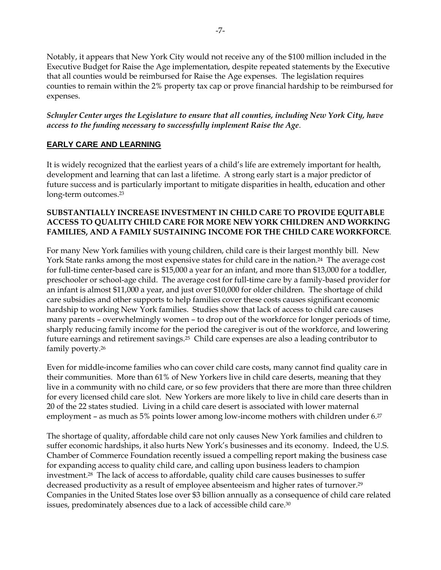Notably, it appears that New York City would not receive any of the \$100 million included in the Executive Budget for Raise the Age implementation, despite repeated statements by the Executive that all counties would be reimbursed for Raise the Age expenses. The legislation requires counties to remain within the 2% property tax cap or prove financial hardship to be reimbursed for expenses.

*Schuyler Center urges the Legislature to ensure that all counties, including New York City, have access to the funding necessary to successfully implement Raise the Age*.

# **EARLY CARE AND LEARNING**

It is widely recognized that the earliest years of a child's life are extremely important for health, development and learning that can last a lifetime. A strong early start is a major predictor of future success and is particularly important to mitigate disparities in health, education and other long-term outcomes.<sup>23</sup>

### **SUBSTANTIALLY INCREASE INVESTMENT IN CHILD CARE TO PROVIDE EQUITABLE ACCESS TO QUALITY CHILD CARE FOR MORE NEW YORK CHILDREN AND WORKING FAMILIES, AND A FAMILY SUSTAINING INCOME FOR THE CHILD CARE WORKFORCE**.

For many New York families with young children, child care is their largest monthly bill. New York State ranks among the most expensive states for child care in the nation.<sup>24</sup> The average cost for full-time center-based care is \$15,000 a year for an infant, and more than \$13,000 for a toddler, preschooler or school-age child. The average cost for full-time care by a family-based provider for an infant is almost \$11,000 a year, and just over \$10,000 for older children. The shortage of child care subsidies and other supports to help families cover these costs causes significant economic hardship to working New York families. Studies show that lack of access to child care causes many parents – overwhelmingly women – to drop out of the workforce for longer periods of time, sharply reducing family income for the period the caregiver is out of the workforce, and lowering future earnings and retirement savings.25 Child care expenses are also a leading contributor to family poverty.<sup>26</sup>

Even for middle-income families who can cover child care costs, many cannot find quality care in their communities.More than 61% of New Yorkers live in child care deserts, meaning that they live in a community with no child care, or so few providers that there are more than three children for every licensed child care slot. New Yorkers are more likely to live in child care deserts than in 20 of the 22 states studied. Living in a child care desert is associated with lower maternal employment – as much as 5% points lower among low-income mothers with children under 6.<sup>27</sup>

The shortage of quality, affordable child care not only causes New York families and children to suffer economic hardships, it also hurts New York's businesses and its economy. Indeed, the U.S. Chamber of Commerce Foundation recently issued a compelling report making the business case for expanding access to quality child care, and calling upon business leaders to champion investment.28 The lack of access to affordable, quality child care causes businesses to suffer decreased productivity as a result of employee absenteeism and higher rates of turnover. 29 Companies in the United States lose over \$3 billion annually as a consequence of child care related issues, predominately absences due to a lack of accessible child care.<sup>30</sup>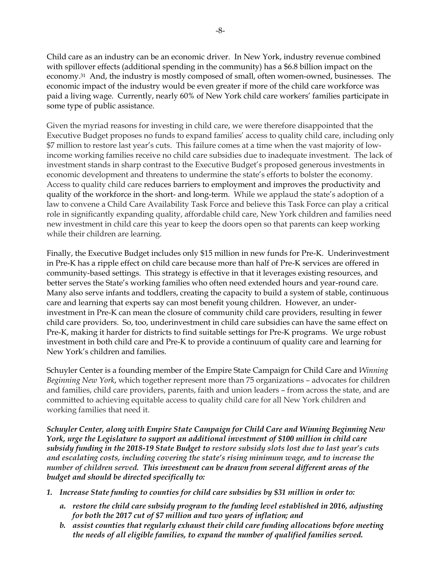-8-

Child care as an industry can be an economic driver. In New York, industry revenue combined with spillover effects (additional spending in the community) has a \$6.8 billion impact on the economy.31 And, the industry is mostly composed of small, often women-owned, businesses. The economic impact of the industry would be even greater if more of the child care workforce was paid a living wage. Currently, nearly 60% of New York child care workers' families participate in some type of public assistance.

Given the myriad reasons for investing in child care, we were therefore disappointed that the Executive Budget proposes no funds to expand families' access to quality child care, including only \$7 million to restore last year's cuts. This failure comes at a time when the vast majority of lowincome working families receive no child care subsidies due to inadequate investment. The lack of investment stands in sharp contrast to the Executive Budget's proposed generous investments in economic development and threatens to undermine the state's efforts to bolster the economy. Access to quality child care reduces barriers to employment and improves the productivity and quality of the workforce in the short- and long-term. While we applaud the state's adoption of a law to convene a Child Care Availability Task Force and believe this Task Force can play a critical role in significantly expanding quality, affordable child care, New York children and families need new investment in child care this year to keep the doors open so that parents can keep working while their children are learning.

Finally, the Executive Budget includes only \$15 million in new funds for Pre-K. Underinvestment in Pre-K has a ripple effect on child care because more than half of Pre-K services are offered in community-based settings. This strategy is effective in that it leverages existing resources, and better serves the State's working families who often need extended hours and year-round care. Many also serve infants and toddlers, creating the capacity to build a system of stable, continuous care and learning that experts say can most benefit young children. However, an underinvestment in Pre-K can mean the closure of community child care providers, resulting in fewer child care providers. So, too, underinvestment in child care subsidies can have the same effect on Pre-K, making it harder for districts to find suitable settings for Pre-K programs. We urge robust investment in both child care and Pre-K to provide a continuum of quality care and learning for New York's children and families.

Schuyler Center is a founding member of the Empire State Campaign for Child Care and *Winning Beginning New York*, which together represent more than 75 organizations – advocates for children and families, child care providers, parents, faith and union leaders – from across the state, and are committed to achieving equitable access to quality child care for all New York children and working families that need it.

*Schuyler Center, along with Empire State Campaign for Child Care and Winning Beginning New York, urge the Legislature to support an additional investment of \$100 million in child care subsidy funding in the 2018-19 State Budget to restore subsidy slots lost due to last year's cuts and escalating costs, including covering the state's rising minimum wage, and to increase the number of children served. This investment can be drawn from several different areas of the budget and should be directed specifically to:*

- *1. Increase State funding to counties for child care subsidies by \$31 million in order to:* 
	- *a. restore the child care subsidy program to the funding level established in 2016, adjusting for both the 2017 cut of \$7 million and two years of inflation; and*
	- *b. assist counties that regularly exhaust their child care funding allocations before meeting the needs of all eligible families, to expand the number of qualified families served.*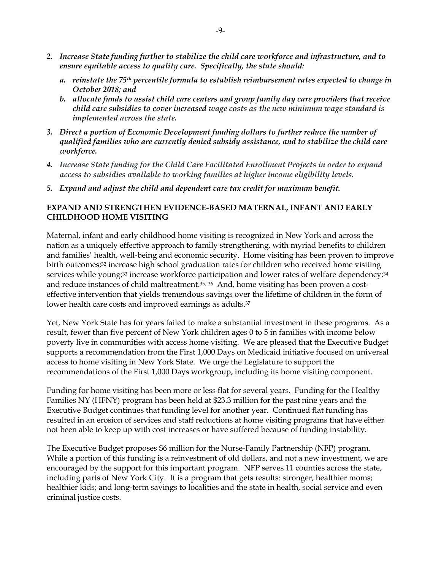- *2. Increase State funding further to stabilize the child care workforce and infrastructure, and to ensure equitable access to quality care. Specifically, the state should:* 
	- *a. reinstate the 75th percentile formula to establish reimbursement rates expected to change in October 2018; and*
	- *b. allocate funds to assist child care centers and group family day care providers that receive child care subsidies to cover increased wage costs as the new minimum wage standard is implemented across the state.*
- *3. Direct a portion of Economic Development funding dollars to further reduce the number of qualified families who are currently denied subsidy assistance, and to stabilize the child care workforce.*
- *4. Increase State funding for the Child Care Facilitated Enrollment Projects in order to expand access to subsidies available to working families at higher income eligibility levels.*
- *5. Expand and adjust the child and dependent care tax credit for maximum benefit.*

### **EXPAND AND STRENGTHEN EVIDENCE-BASED MATERNAL, INFANT AND EARLY CHILDHOOD HOME VISITING**

Maternal, infant and early childhood home visiting is recognized in New York and across the nation as a uniquely effective approach to family strengthening, with myriad benefits to children and families' health, well-being and economic security. Home visiting has been proven to improve birth outcomes;<sup>32</sup> increase high school graduation rates for children who received home visiting services while young;<sup>33</sup> increase workforce participation and lower rates of welfare dependency;<sup>34</sup> and reduce instances of child maltreatment.<sup>35, 36</sup> And, home visiting has been proven a costeffective intervention that yields tremendous savings over the lifetime of children in the form of lower health care costs and improved earnings as adults.<sup>37</sup>

Yet, New York State has for years failed to make a substantial investment in these programs. As a result, fewer than five percent of New York children ages 0 to 5 in families with income below poverty live in communities with access home visiting. We are pleased that the Executive Budget supports a recommendation from the First 1,000 Days on Medicaid initiative focused on universal access to home visiting in New York State. We urge the Legislature to support the recommendations of the First 1,000 Days workgroup, including its home visiting component.

Funding for home visiting has been more or less flat for several years. Funding for the Healthy Families NY (HFNY) program has been held at \$23.3 million for the past nine years and the Executive Budget continues that funding level for another year. Continued flat funding has resulted in an erosion of services and staff reductions at home visiting programs that have either not been able to keep up with cost increases or have suffered because of funding instability.

The Executive Budget proposes \$6 million for the Nurse-Family Partnership (NFP) program. While a portion of this funding is a reinvestment of old dollars, and not a new investment, we are encouraged by the support for this important program. NFP serves 11 counties across the state, including parts of New York City. It is a program that gets results: stronger, healthier moms; healthier kids; and long-term savings to localities and the state in health, social service and even criminal justice costs.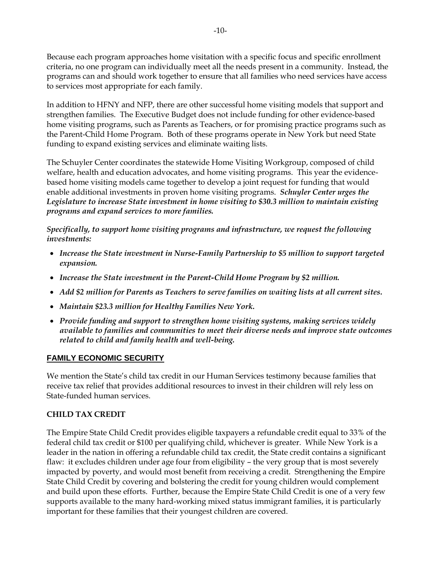Because each program approaches home visitation with a specific focus and specific enrollment criteria, no one program can individually meet all the needs present in a community. Instead, the programs can and should work together to ensure that all families who need services have access to services most appropriate for each family.

In addition to HFNY and NFP, there are other successful home visiting models that support and strengthen families. The Executive Budget does not include funding for other evidence-based home visiting programs, such as Parents as Teachers, or for promising practice programs such as the Parent-Child Home Program. Both of these programs operate in New York but need State funding to expand existing services and eliminate waiting lists.

The Schuyler Center coordinates the statewide Home Visiting Workgroup, composed of child welfare, health and education advocates, and home visiting programs. This year the evidencebased home visiting models came together to develop a joint request for funding that would enable additional investments in proven home visiting programs. *Schuyler Center urges the Legislature to increase State investment in home visiting to \$30.3 million to maintain existing programs and expand services to more families.*

*Specifically, to support home visiting programs and infrastructure, we request the following investments:*

- *Increase the State investment in Nurse-Family Partnership to \$5 million to support targeted expansion.*
- *Increase the State investment in the Parent-Child Home Program by \$2 million.*
- *Add \$2 million for Parents as Teachers to serve families on waiting lists at all current sites.*
- *Maintain \$23.3 million for Healthy Families New York.*
- *Provide funding and support to strengthen home visiting systems, making services widely available to families and communities to meet their diverse needs and improve state outcomes related to child and family health and well-being.*

### **FAMILY ECONOMIC SECURITY**

We mention the State's child tax credit in our Human Services testimony because families that receive tax relief that provides additional resources to invest in their children will rely less on State-funded human services.

### **CHILD TAX CREDIT**

The Empire State Child Credit provides eligible taxpayers a refundable credit equal to 33% of the federal child tax credit or \$100 per qualifying child, whichever is greater. While New York is a leader in the nation in offering a refundable child tax credit, the State credit contains a significant flaw: it excludes children under age four from eligibility – the very group that is most severely impacted by poverty, and would most benefit from receiving a credit. Strengthening the Empire State Child Credit by covering and bolstering the credit for young children would complement and build upon these efforts. Further, because the Empire State Child Credit is one of a very few supports available to the many hard-working mixed status immigrant families, it is particularly important for these families that their youngest children are covered.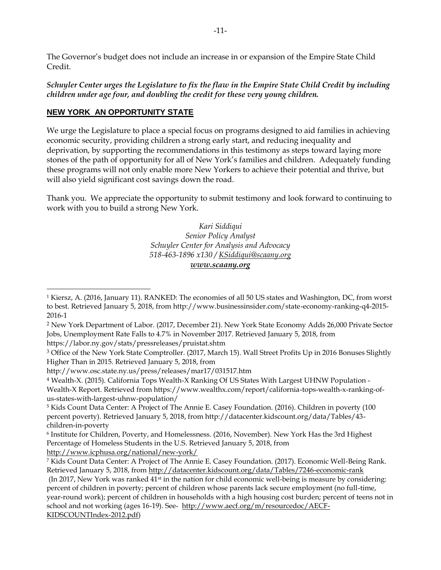The Governor's budget does not include an increase in or expansion of the Empire State Child Credit.

*Schuyler Center urges the Legislature to fix the flaw in the Empire State Child Credit by including children under age four, and doubling the credit for these very young children.* 

# **NEW YORK AN OPPORTUNITY STATE**

We urge the Legislature to place a special focus on programs designed to aid families in achieving economic security, providing children a strong early start, and reducing inequality and deprivation, by supporting the recommendations in this testimony as steps toward laying more stones of the path of opportunity for all of New York's families and children. Adequately funding these programs will not only enable more New Yorkers to achieve their potential and thrive, but will also yield significant cost savings down the road.

Thank you. We appreciate the opportunity to submit testimony and look forward to continuing to work with you to build a strong New York.

> *Kari Siddiqui Senior Policy Analyst Schuyler Center for Analysis and Advocacy 518-463-1896 x130 [/ KSiddiqui@scaany.org](mailto:KSiddiqui@scaany.org) [www.scaany.org](http://www.scaany.org/)*

https://labor.ny.gov/stats/pressreleases/pruistat.shtm

<sup>4</sup> Wealth-X. (2015). California Tops Wealth-X Ranking Of US States With Largest UHNW Population - Wealth-X Report. Retrieved from https://www.wealthx.com/report/california-tops-wealth-x-ranking-ofus-states-with-largest-uhnw-population/

<http://www.icphusa.org/national/new-york/>

<sup>1</sup> Kiersz, A. (2016, January 11). RANKED: The economies of all 50 US states and Washington, DC, from worst to best. Retrieved January 5, 2018, from http://www.businessinsider.com/state-economy-ranking-q4-2015- 2016-1  $\overline{a}$ 

<sup>2</sup> New York Department of Labor. (2017, December 21). New York State Economy Adds 26,000 Private Sector Jobs, Unemployment Rate Falls to 4.7% in November 2017. Retrieved January 5, 2018, from

<sup>&</sup>lt;sup>3</sup> Office of the New York State Comptroller. (2017, March 15). Wall Street Profits Up in 2016 Bonuses Slightly Higher Than in 2015. Retrieved January 5, 2018, from

http://www.osc.state.ny.us/press/releases/mar17/031517.htm

<sup>5</sup> Kids Count Data Center: A Project of The Annie E. Casey Foundation. (2016). Children in poverty (100 percent poverty). Retrieved January 5, 2018, from http://datacenter.kidscount.org/data/Tables/43 children-in-poverty

<sup>6</sup> Institute for Children, Poverty, and Homelessness. (2016, November). New York Has the 3rd Highest Percentage of Homeless Students in the U.S. Retrieved January 5, 2018, from

<sup>7</sup> Kids Count Data Center: A Project of The Annie E. Casey Foundation. (2017). Economic Well-Being Rank. Retrieved January 5, 2018, from<http://datacenter.kidscount.org/data/Tables/7246-economic-rank> (In 2017, New York was ranked 41st in the nation for child economic well-being is measure by considering: percent of children in poverty; percent of children whose parents lack secure employment (no full-time, year-round work); percent of children in households with a high housing cost burden; percent of teens not in school and not working (ages 16-19). See- [http://www.aecf.org/m/resourcedoc/AECF-](http://www.aecf.org/m/resourcedoc/AECF-KIDSCOUNTIndex-2012.pdf)[KIDSCOUNTIndex-2012.pdf\)](http://www.aecf.org/m/resourcedoc/AECF-KIDSCOUNTIndex-2012.pdf)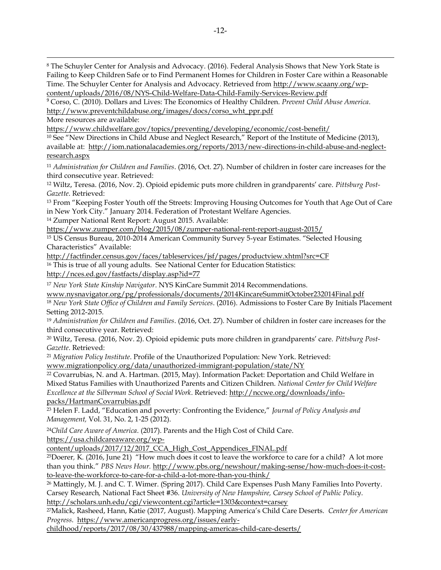<sup>8</sup> The Schuyler Center for Analysis and Advocacy. (2016). Federal Analysis Shows that New York State is Failing to Keep Children Safe or to Find Permanent Homes for Children in Foster Care within a Reasonable Time. The Schuyler Center for Analysis and Advocacy. Retrieved from [http://www.scaany.org/wp](http://www.scaany.org/wp-content/uploads/2016/08/NYS-Child-Welfare-Data-Child-Family-Services-Review.pdf)[content/uploads/2016/08/NYS-Child-Welfare-Data-Child-Family-Services-Review.pdf](http://www.scaany.org/wp-content/uploads/2016/08/NYS-Child-Welfare-Data-Child-Family-Services-Review.pdf)

<sup>9</sup> Corso, C. (2010). Dollars and Lives: The Economics of Healthy Children. *Prevent Child Abuse America*. [http://www.preventchildabuse.org/images/docs/corso\\_wht\\_ppr.pdf](http://www.preventchildabuse.org/images/docs/corso_wht_ppr.pdf)

More resources are available:

<u>.</u>

<https://www.childwelfare.gov/topics/preventing/developing/economic/cost-benefit/>

<sup>10</sup> See "New Directions in Child Abuse and Neglect Research," Report of the Institute of Medicine (2013), available at: [http://iom.nationalacademies.org/reports/2013/new-directions-in-child-abuse-and-neglect](http://iom.nationalacademies.org/reports/2013/new-directions-in-child-abuse-and-neglect-research.aspx)[research.aspx](http://iom.nationalacademies.org/reports/2013/new-directions-in-child-abuse-and-neglect-research.aspx)

<sup>11</sup> *Administration for Children and Families*. (2016, Oct. 27). Number of children in foster care increases for the third consecutive year. Retrieved:

<sup>12</sup> Wiltz, Teresa. (2016, Nov. 2). Opioid epidemic puts more children in grandparents' care. *Pittsburg Post-Gazette*. Retrieved:

<sup>13</sup> From "Keeping Foster Youth off the Streets: Improving Housing Outcomes for Youth that Age Out of Care in New York City." January 2014. Federation of Protestant Welfare Agencies.

<sup>14</sup> Zumper National Rent Report: August 2015. Available:

<https://www.zumper.com/blog/2015/08/zumper-national-rent-report-august-2015/>

<sup>15</sup> US Census Bureau, 2010-2014 American Community Survey 5-year Estimates. "Selected Housing Characteristics" Available:

<http://factfinder.census.gov/faces/tableservices/jsf/pages/productview.xhtml?src=CF>

<sup>16</sup> This is true of all young adults. See National Center for Education Statistics: <http://nces.ed.gov/fastfacts/display.asp?id=77>

<sup>17</sup> *New York State Kinship Navigator*. NYS KinCare Summit 2014 Recommendations.

[www.nysnavigator.org/pg/professionals/documents/2014KincareSummitOctober232014Final.pdf](http://www.nysnavigator.org/pg/documents/2014KincareSummitOCtober232014Final.pdf)

<sup>18</sup> *New York State Office of Children and Family Services*. (2016). Admissions to Foster Care By Initials Placement Setting 2012-2015.

<sup>19</sup> *Administration for Children and Families*. (2016, Oct. 27). Number of children in foster care increases for the third consecutive year. Retrieved:

<sup>20</sup> Wiltz, Teresa. (2016, Nov. 2). Opioid epidemic puts more children in grandparents' care. *Pittsburg Post-Gazette*. Retrieved:

<sup>21</sup> *Migration Policy Institute*. Profile of the Unauthorized Population: New York. Retrieved:

[www.migrationpolicy.org/data/unauthorized-immigrant-population/state/NY](http://www.migrationpolicy.org/data/unauthorized-immigrant-population/state/NY)

<sup>22</sup> Covarrubias, N. and A. Hartman. (2015, May). Information Packet: Deportation and Child Welfare in Mixed Status Families with Unauthorized Parents and Citizen Children. *National Center for Child Welfare Excellence at the Silberman School of Social Work*. Retrieved: [http://nccwe.org/downloads/info](http://nccwe.org/downloads/info-packs/HartmanCovarrubias.pdf)[packs/HartmanCovarrubias.pdf](http://nccwe.org/downloads/info-packs/HartmanCovarrubias.pdf)

<sup>23</sup> Helen F. Ladd, "Education and poverty: Confronting the Evidence," *Journal of Policy Analysis and Management,* Vol. 31, No. 2, 1-25 (2012).

<sup>24</sup>*Child Care Aware of America*. (2017). Parents and the High Cost of Child Care.

[https://usa.childcareaware.org/wp-](https://usa.childcareaware.org/wp-content/uploads/2017/12/2017_CCA_High_Cost_Appendices_FINAL.pdf)

[content/uploads/2017/12/2017\\_CCA\\_High\\_Cost\\_Appendices\\_FINAL.pdf](https://usa.childcareaware.org/wp-content/uploads/2017/12/2017_CCA_High_Cost_Appendices_FINAL.pdf)

<sup>25</sup>Doerer*,* K*.* (2016, June 21) "How much does it cost to leave the workforce to care for a child? A lot more than you think." *PBS News Hour.* [http://www.pbs.org/newshour/making-sense/how-much-does-it-cost](http://www.pbs.org/newshour/making-sense/how-much-does-it-cost-to-leave-the-workforce-to-care-for-a-child-a-lot-more-than-you-think/)[to-leave-the-workforce-to-care-for-a-child-a-lot-more-than-you-think/](http://www.pbs.org/newshour/making-sense/how-much-does-it-cost-to-leave-the-workforce-to-care-for-a-child-a-lot-more-than-you-think/)

<sup>26</sup> Mattingly, M. J. and C. T. Wimer. (Spring 2017). Child Care Expenses Push Many Families Into Poverty. Carsey Research*,* National Fact Sheet #36. *University of New Hampshire, Carsey School of Public Policy*. <http://scholars.unh.edu/cgi/viewcontent.cgi?article=1303&context=carsey>

<sup>27</sup>Malick, Rasheed, Hann, Katie (2017, August). Mapping America's Child Care Deserts. *Center for American Progress*. [https://www.americanprogress.org/issues/early-](https://www.americanprogress.org/issues/early-childhood/reports/2017/08/30/437988/mapping-americas-child-care-deserts/)

[childhood/reports/2017/08/30/437988/mapping-americas-child-care-deserts/](https://www.americanprogress.org/issues/early-childhood/reports/2017/08/30/437988/mapping-americas-child-care-deserts/)